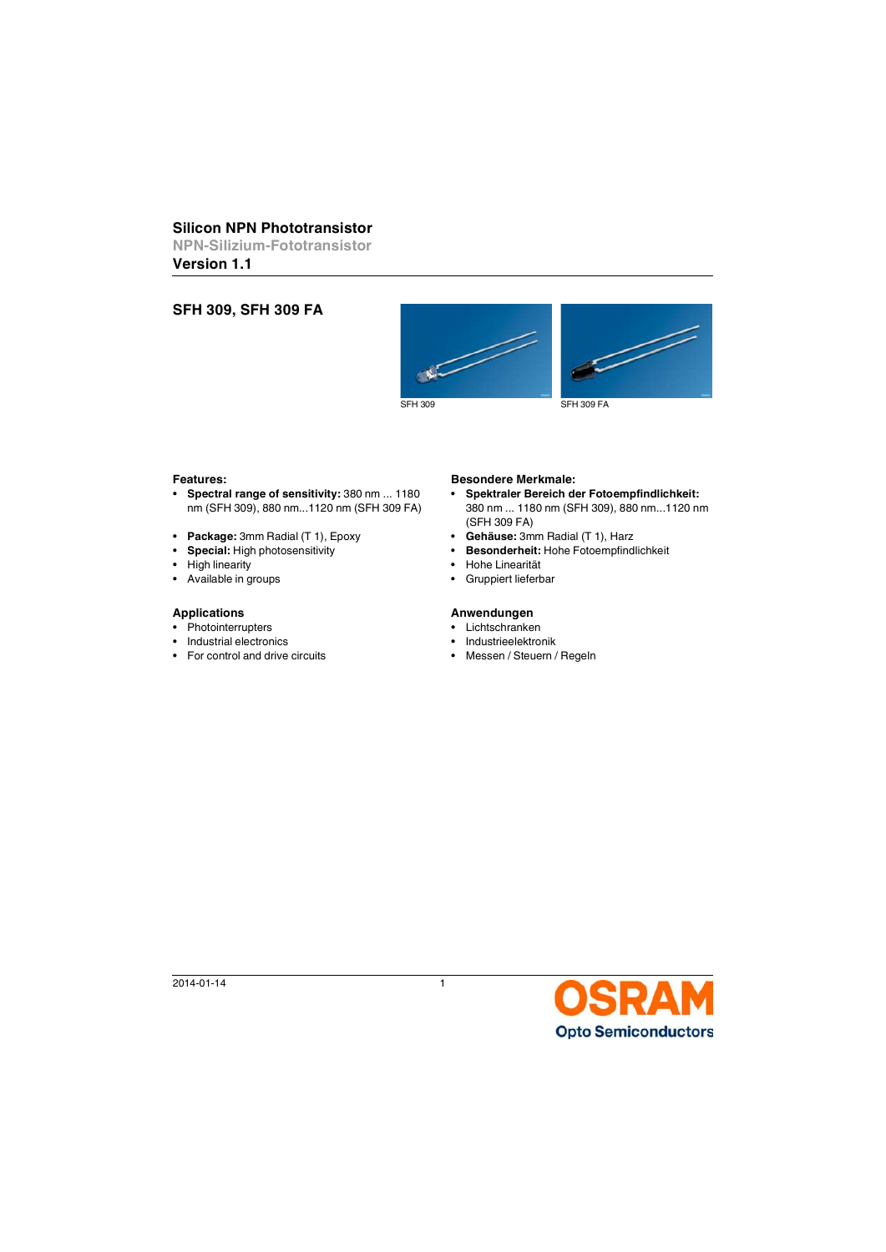# **Silicon NPN Phototransistor**

**NPN-Silizium-Fototransistor**

**Version 1.1**

# **SFH 309, SFH 309 FA**





- **Spectral range of sensitivity:** 380 nm ... 1180 nm (SFH 309), 880 nm...1120 nm (SFH 309 FA)
- **Package:** 3mm Radial (T 1), Epoxy **Gehäuse:** 3mm Radial (T 1), Harz
- 
- 
- Available in groups  **Gruppiert lieferbar**

- Photointerrupters Lichtschranken
- Industrial electronics  **Industrieelektronik**
- For control and drive circuits Messen / Steuern / Regeln

## **Features: Besondere Merkmale:**

- **Spektraler Bereich der Fotoempfindlichkeit:**  380 nm ... 1180 nm (SFH 309), 880 nm...1120 nm (SFH 309 FA)
- 
- **Special:** High photosensitivity **Besonderheit:** Hohe Fotoempfindlichkeit
- High linearity  **Hohe Linearität** 
	-

## Applications **Anwendungen**

- 
- 
- 

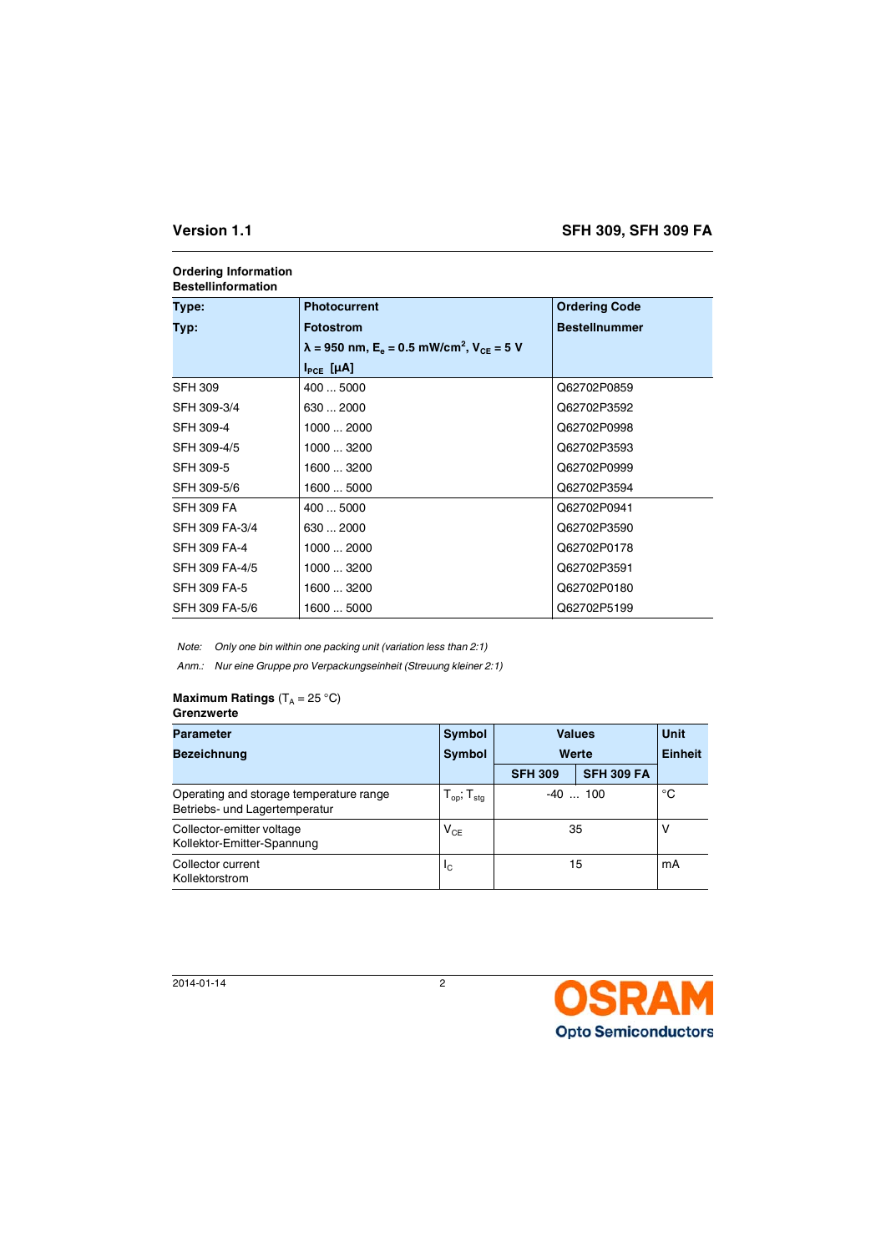| Type:             | <b>Photocurrent</b>                                                                 | <b>Ordering Code</b> |  |
|-------------------|-------------------------------------------------------------------------------------|----------------------|--|
| Typ:              | <b>Fotostrom</b>                                                                    | <b>Bestellnummer</b> |  |
|                   | $\lambda$ = 950 nm, E <sub>e</sub> = 0.5 mW/cm <sup>2</sup> , V <sub>CE</sub> = 5 V |                      |  |
|                   | $I_{\text{PCF}}$ [µA]                                                               |                      |  |
| <b>SFH 309</b>    | 400  5000                                                                           | Q62702P0859          |  |
| SFH 309-3/4       | 630  2000                                                                           | Q62702P3592          |  |
| SFH 309-4         | 10002000                                                                            | Q62702P0998          |  |
| SFH 309-4/5       | 1000  3200                                                                          | Q62702P3593          |  |
| SFH 309-5         | 1600  3200                                                                          | Q62702P0999          |  |
| SFH 309-5/6       | 1600  5000                                                                          | Q62702P3594          |  |
| <b>SFH 309 FA</b> | 400  5000                                                                           | Q62702P0941          |  |
| SFH 309 FA-3/4    | 630  2000                                                                           | Q62702P3590          |  |
| SFH 309 FA-4      | 1000  2000                                                                          | Q62702P0178          |  |
| SFH 309 FA-4/5    | 1000  3200                                                                          | Q62702P3591          |  |
| SFH 309 FA-5      | 1600  3200                                                                          | Q62702P0180          |  |
| SFH 309 FA-5/6    | 1600  5000                                                                          | Q62702P5199          |  |

## **Ordering Information Bestellinformation**

*Note: Only one bin within one packing unit (variation less than 2:1)*

*Anm.: Nur eine Gruppe pro Verpackungseinheit (Streuung kleiner 2:1)*

## **Maximum Ratings**  $(T_A = 25 \degree C)$ **Grenzwerte**

| <b>Parameter</b>                                                         | Symbol                             | <b>Values</b>  |                   | <b>Unit</b> |
|--------------------------------------------------------------------------|------------------------------------|----------------|-------------------|-------------|
| <b>Bezeichnung</b>                                                       | <b>Symbol</b>                      | Werte          |                   | Einheit     |
|                                                                          |                                    | <b>SFH 309</b> | <b>SFH 309 FA</b> |             |
| Operating and storage temperature range<br>Betriebs- und Lagertemperatur | $T_{\text{op}}$ ; $T_{\text{stg}}$ | $-40$ 100      |                   | °C          |
| Collector-emitter voltage<br>Kollektor-Emitter-Spannung                  | $V_{CE}$                           | 35             |                   | ν           |
| Collector current<br>Kollektorstrom                                      | Ιc                                 | 15             |                   | mA          |

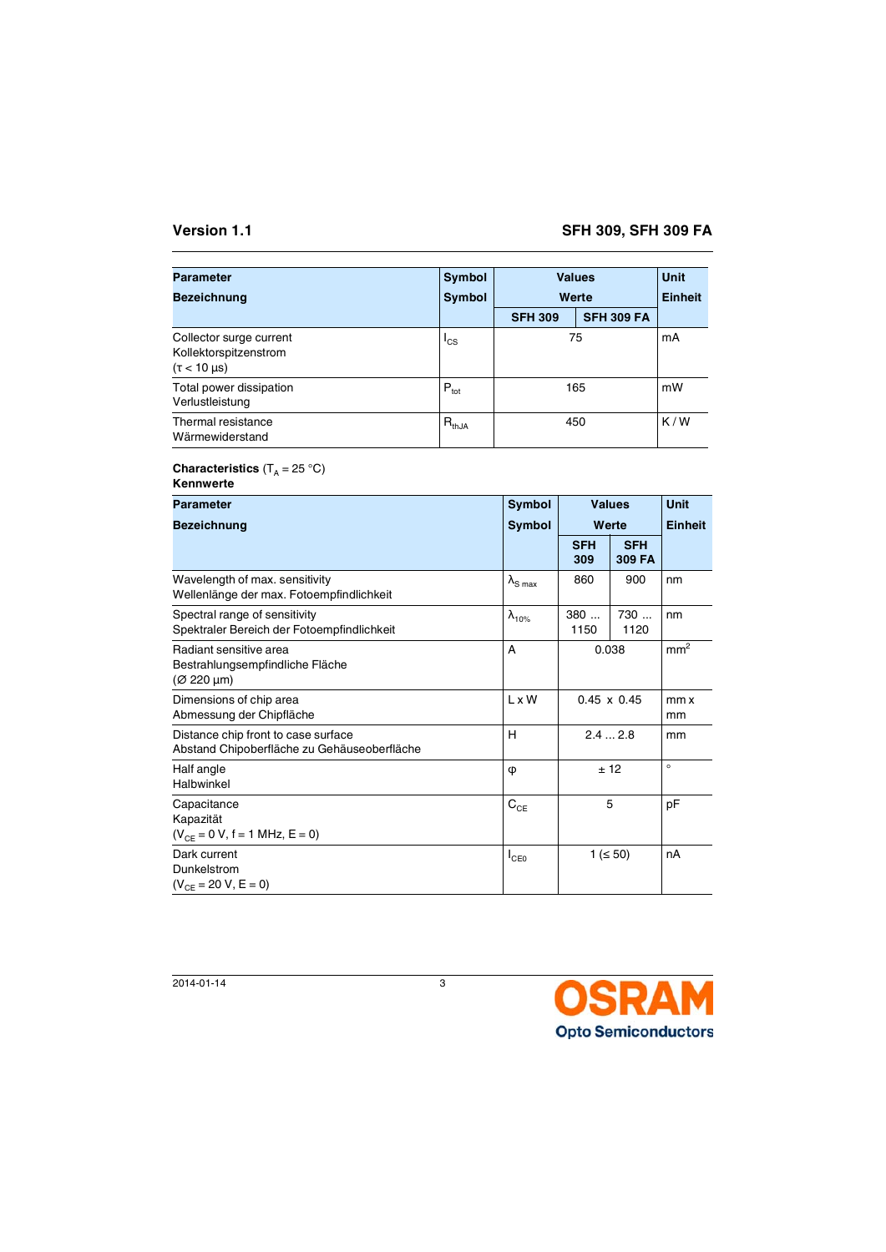| <b>Parameter</b>                                                          | Symbol           |                | <b>Values</b>     | Unit           |
|---------------------------------------------------------------------------|------------------|----------------|-------------------|----------------|
| <b>Bezeichnung</b>                                                        | Symbol           | Werte          |                   | <b>Einheit</b> |
|                                                                           |                  | <b>SFH 309</b> | <b>SFH 309 FA</b> |                |
| Collector surge current<br>Kollektorspitzenstrom<br>$(\tau < 10 \,\mu s)$ | $I_{CS}$         |                | 75                | mA             |
| Total power dissipation<br>Verlustleistung                                | $P_{\text{tot}}$ |                | 165               | mW             |
| Thermal resistance<br>Wärmewiderstand                                     | $R_{thJA}$       | 450            |                   | K/W            |

# **Characteristics**  $(T_A = 25 \text{ }^{\circ}\text{C})$

| Kennwerte |  |
|-----------|--|
|-----------|--|

| Parameter                                                                          | Symbol                     |                    | <b>Values</b>        | <b>Unit</b>     |
|------------------------------------------------------------------------------------|----------------------------|--------------------|----------------------|-----------------|
| <b>Bezeichnung</b>                                                                 | <b>Symbol</b>              | Werte              |                      | <b>Einheit</b>  |
|                                                                                    |                            | <b>SFH</b><br>309  | <b>SFH</b><br>309 FA |                 |
| Wavelength of max. sensitivity<br>Wellenlänge der max. Fotoempfindlichkeit         | $\lambda_{\text{S max}}$   | 860                | 900                  | nm              |
| Spectral range of sensitivity<br>Spektraler Bereich der Fotoempfindlichkeit        | $\lambda_{10\%}$           | 380<br>1150        | 730<br>1120          | nm              |
| Radiant sensitive area<br>Bestrahlungsempfindliche Fläche<br>$(Ø 220 \mu m)$       | A                          |                    | 0.038                | mm <sup>2</sup> |
| Dimensions of chip area<br>Abmessung der Chipfläche                                | L x W                      | $0.45 \times 0.45$ |                      | mm x<br>mm      |
| Distance chip front to case surface<br>Abstand Chipoberfläche zu Gehäuseoberfläche | H                          |                    | 2.42.8               | mm              |
| Half angle<br>Halbwinkel                                                           | φ                          |                    | ± 12                 | $\circ$         |
| Capacitance<br>Kapazität<br>$(V_{CE} = 0 V, f = 1 MHz, E = 0)$                     | $\mathbf{C}_{\mathsf{CE}}$ |                    | 5                    | рF              |
| Dark current<br>Dunkelstrom<br>$(V_{CE} = 20 V, E = 0)$                            |                            |                    | $1 ( \le 50)$        | nA              |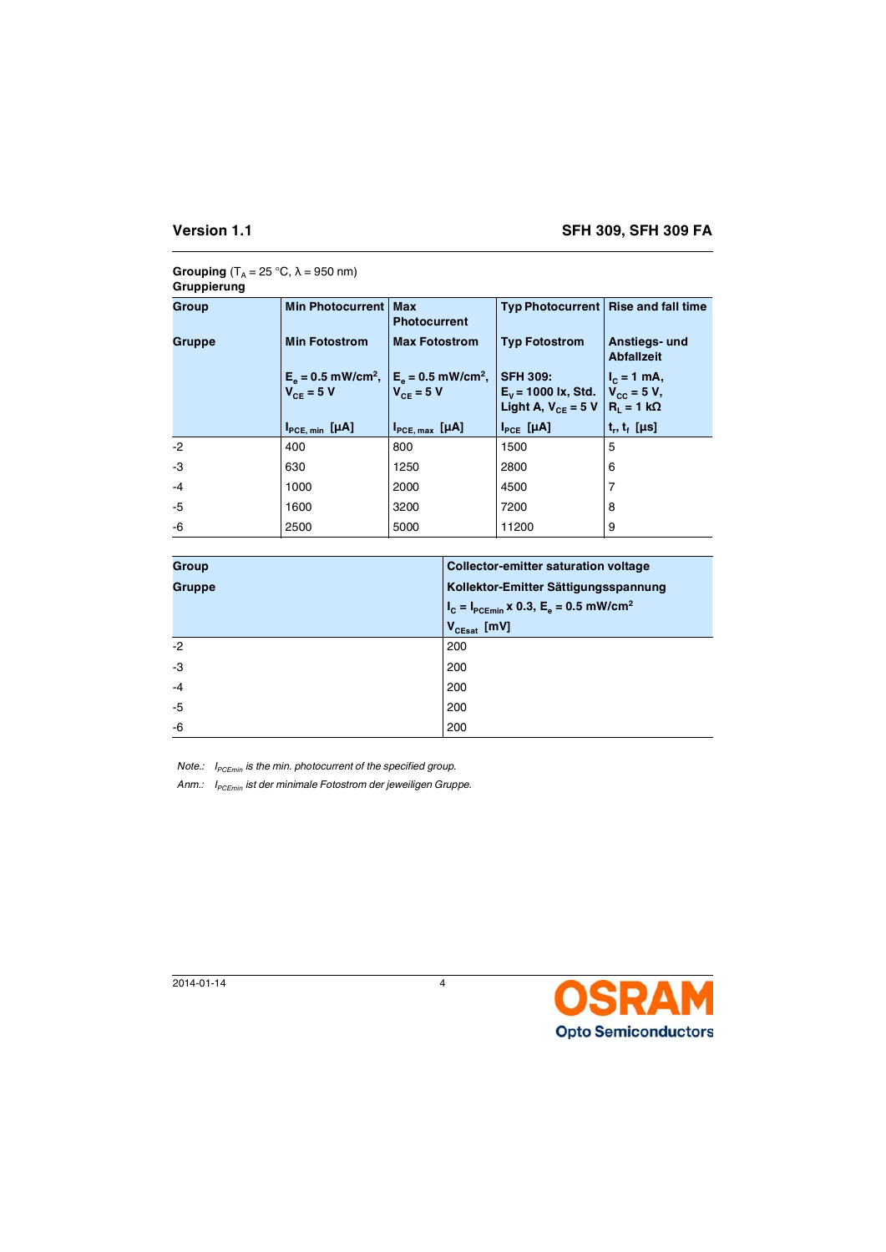# **Grouping**  $(T_A = 25 \degree C, \lambda = 950 \text{ nm})$ **Gruppierung**

| Group  | <b>Min Photocurrent</b>                                                             | <b>Max</b><br><b>Photocurrent</b> | Typ Photocurrent   Rise and fall time                                                                          |                                    |
|--------|-------------------------------------------------------------------------------------|-----------------------------------|----------------------------------------------------------------------------------------------------------------|------------------------------------|
| Gruppe | <b>Min Fotostrom</b>                                                                | <b>Max Fotostrom</b>              | <b>Typ Fotostrom</b>                                                                                           | Anstiegs- und<br><b>Abfallzeit</b> |
|        | $E_e = 0.5$ mW/cm <sup>2</sup> , $E_e = 0.5$ mW/cm <sup>2</sup> ,<br>$V_{ce}$ = 5 V | $V_{ce}$ = 5 V                    | <b>SFH 309:</b><br>$E_v$ = 1000 lx, Std.   V <sub>cc</sub> = 5 V,<br>Light A, $V_{CF} = 5 V   R_1 = 1 k\Omega$ | $I_c = 1$ mA,                      |
|        |                                                                                     |                                   |                                                                                                                |                                    |
|        | $I_{PCE, min}$ [ $\mu$ A]                                                           | $I_{PCE, max}$ [ $\mu$ A]         | $I_{PCE}$ [µA]                                                                                                 | $t_r, t_t$ [µs]                    |
| $-2$   | 400                                                                                 | 800                               | 1500                                                                                                           | 5                                  |
| -3     | 630                                                                                 | 1250                              | 2800                                                                                                           | 6                                  |
| $-4$   | 1000                                                                                | 2000                              | 4500                                                                                                           |                                    |
| -5     | 1600                                                                                | 3200                              | 7200                                                                                                           | 8                                  |

| <b>Group</b>  | <b>Collector-emitter saturation voltage</b>              |
|---------------|----------------------------------------------------------|
| <b>Gruppe</b> | Kollektor-Emitter Sättigungsspannung                     |
|               | $I_c = I_{PCEmin}$ x 0.3, $E_e = 0.5$ mW/cm <sup>2</sup> |
|               | $V_{CEsat}$ [mV]                                         |
| $-2$          | 200                                                      |
| -3            | 200                                                      |
| $-4$          | 200                                                      |
| $-5$          | 200                                                      |
| -6            | 200                                                      |

*Note.: I<sub>PCEmin</sub>* is the min. photocurrent of the specified group.

Anm.: I<sub>PCEmin</sub> ist der minimale Fotostrom der jeweiligen Gruppe.

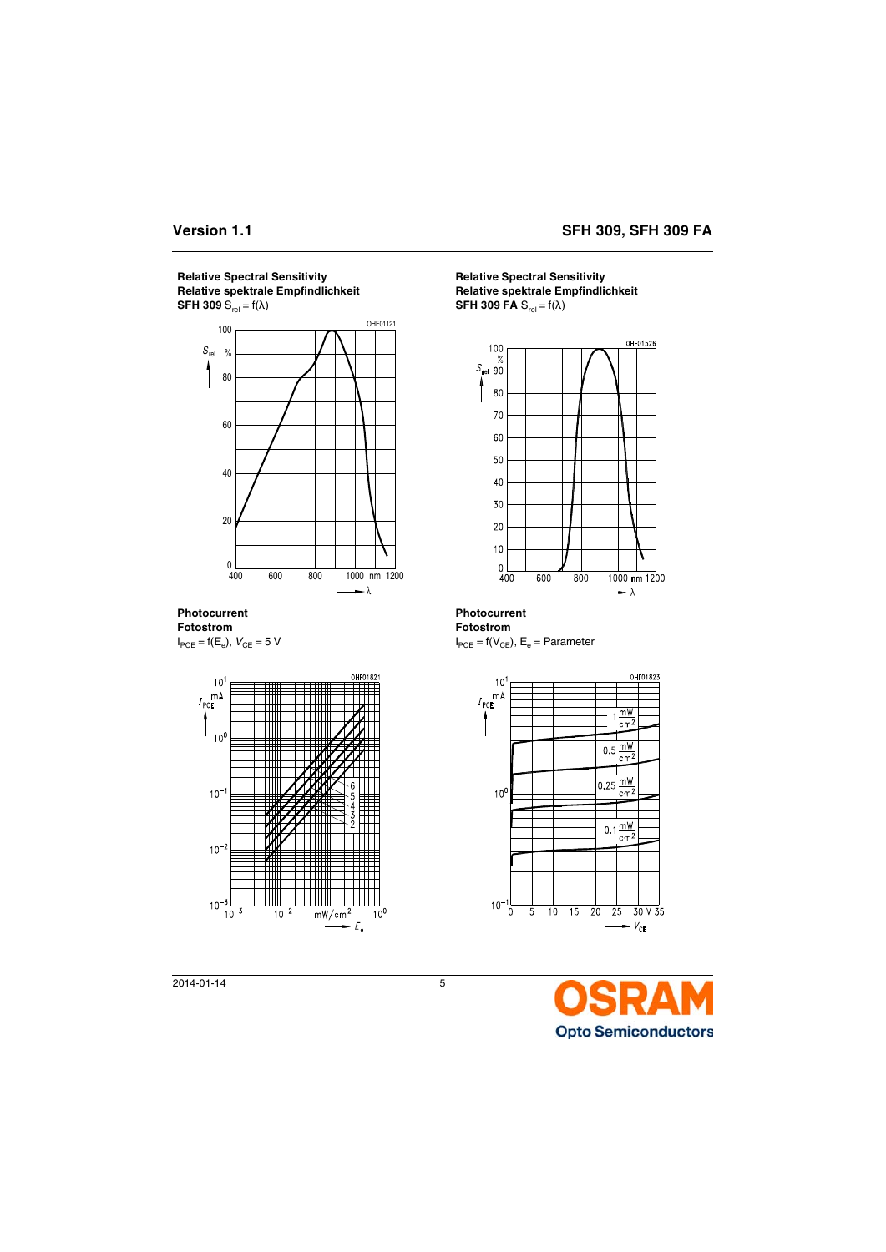



**Photocurrent Fotostrom**





**Relative Spectral Sensitivity Relative spektrale Empfindlichkeit SFH 309 FA**  $S_{rel} = f(\lambda)$ 



**Photocurrent**

**Fotostrom**  $I_{\text{PCE}}$  = f( $V_{\text{CE}}$ ),  $E_{\text{e}}$  = Parameter



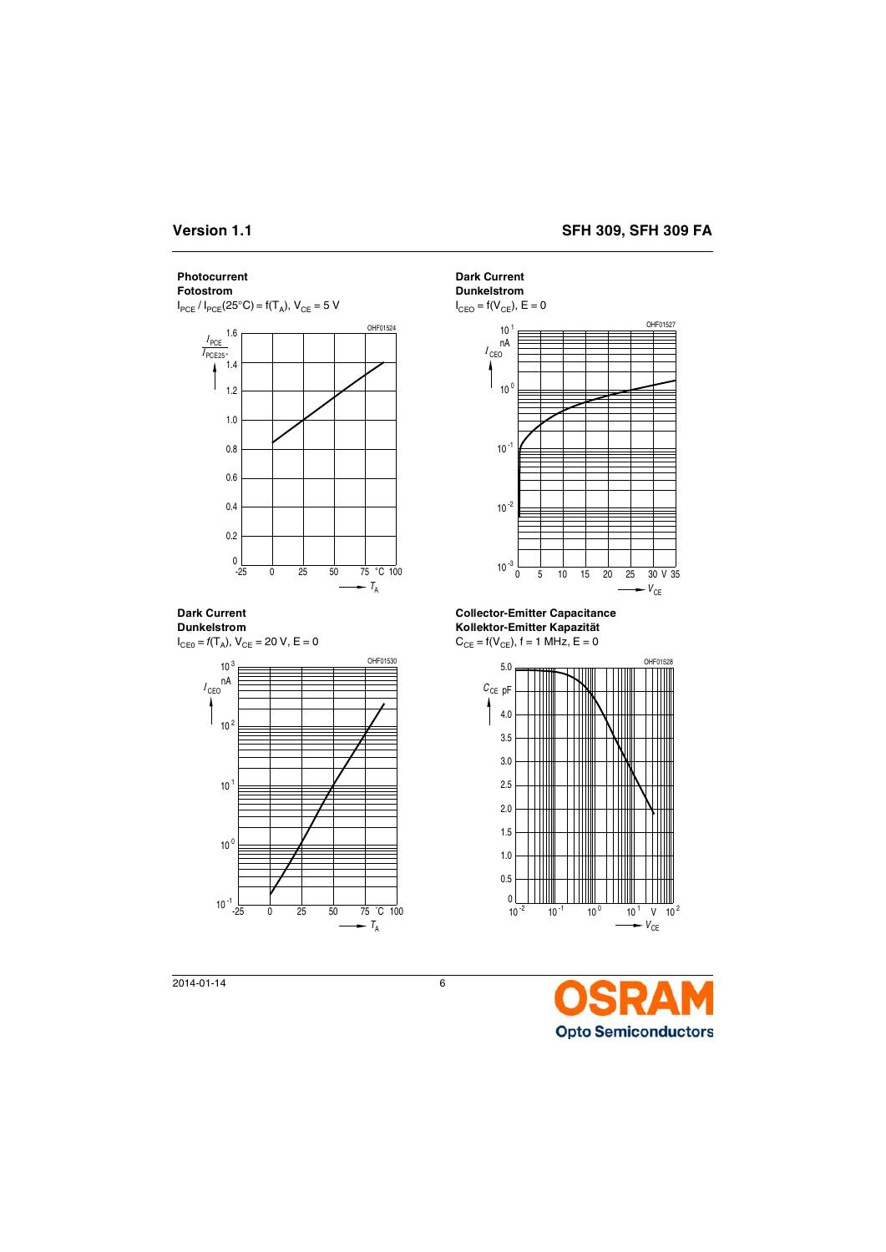# **Photocurrent**

# **Fotostrom**

 $I_{PCE}$  /  $I_{PCE}$  (25°C) = f(T<sub>A</sub>),  $V_{CF}$  = 5 V



**Dark Current Dunkelstrom**

 $I_{CE0} = f(T_A)$ ,  $V_{CE} = 20$  V,  $E = 0$ 



**Dark Current**

**Dunkelstrom**

 $I_{\text{CEO}} = f(V_{\text{CE}})$ ,  $E = 0$ 



**Collector-Emitter Capacitance Kollektor-Emitter Kapazität**

 $C_{CE} = f(V_{CE})$ , f = 1 MHz, E = 0



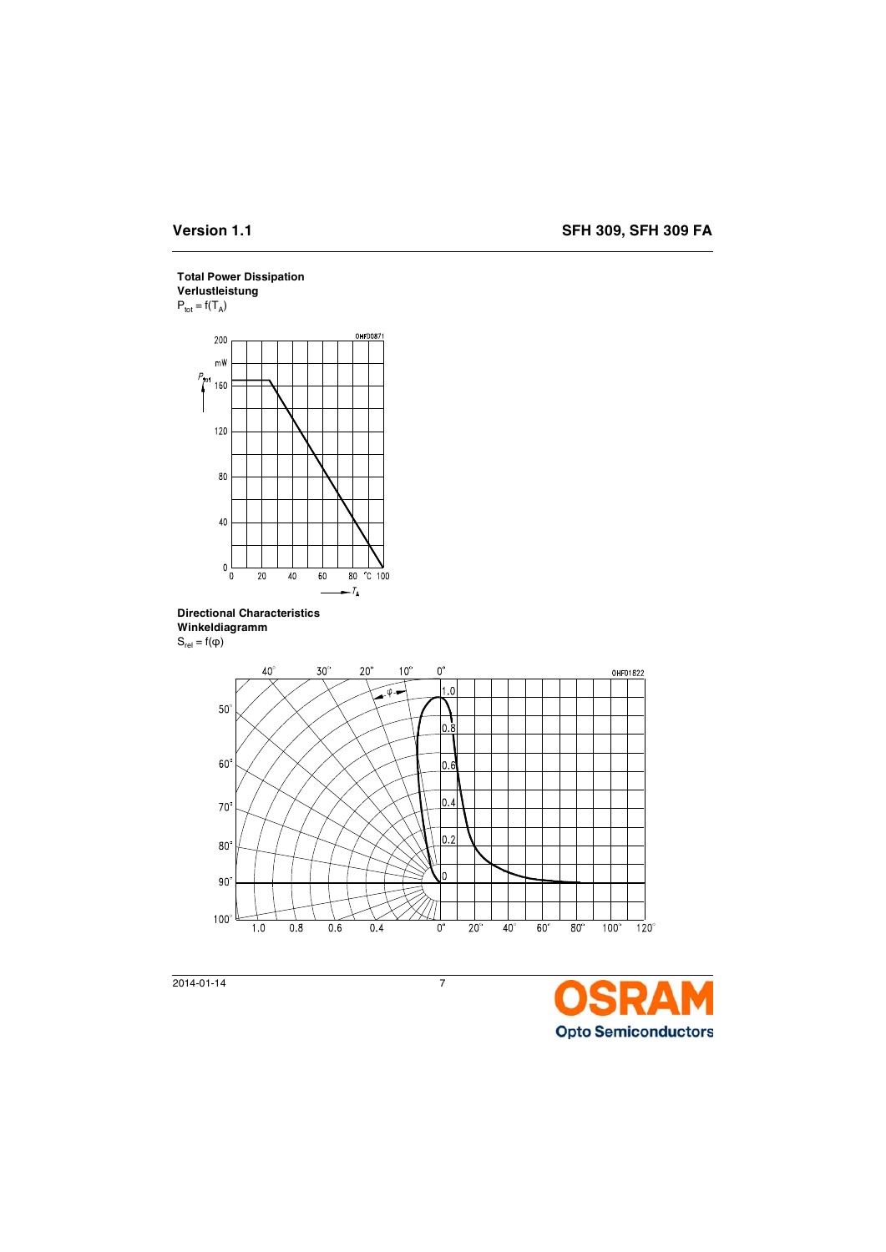# **Total Power Dissipation**

**Verlustleistung**  $P_{\text{tot}} = f(T_A)$ 



**Directional Characteristics Winkeldiagramm**  $S_{rel} = f(\phi)$ 



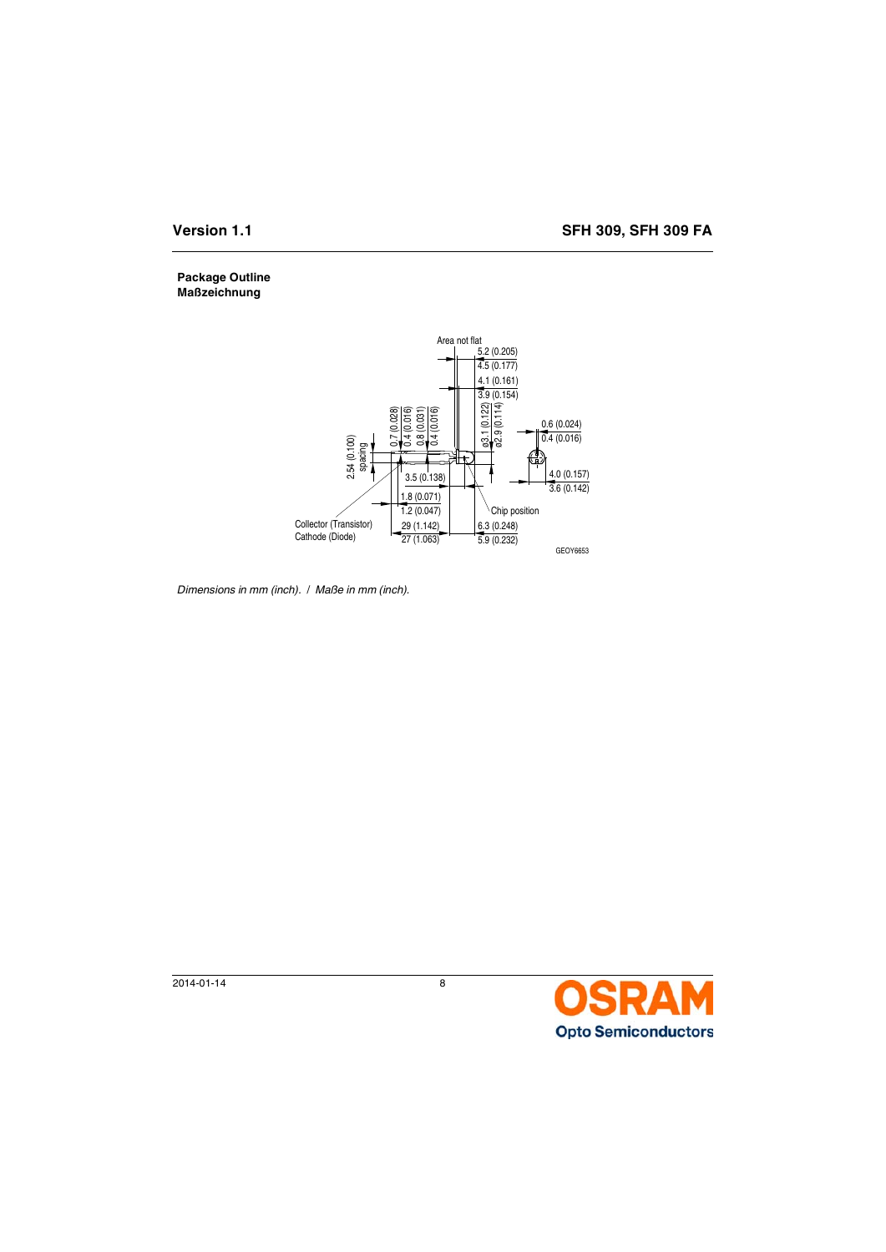# **Package Outline Maßzeichnung**



*Dimensions in mm (inch).* / *Maße in mm (inch).*

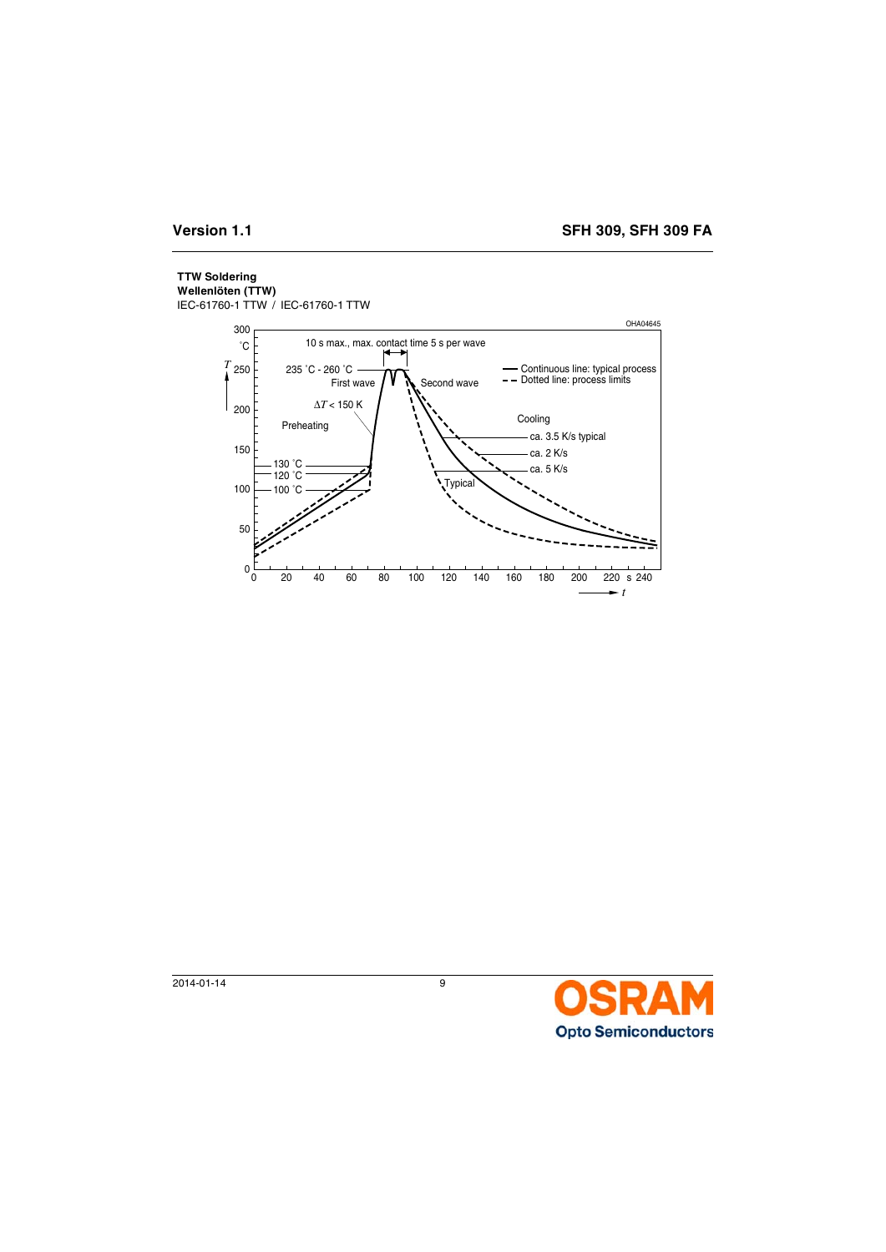# **TTW Soldering**

**Wellenlöten (TTW)**

IEC-61760-1 TTW / IEC-61760-1 TTW



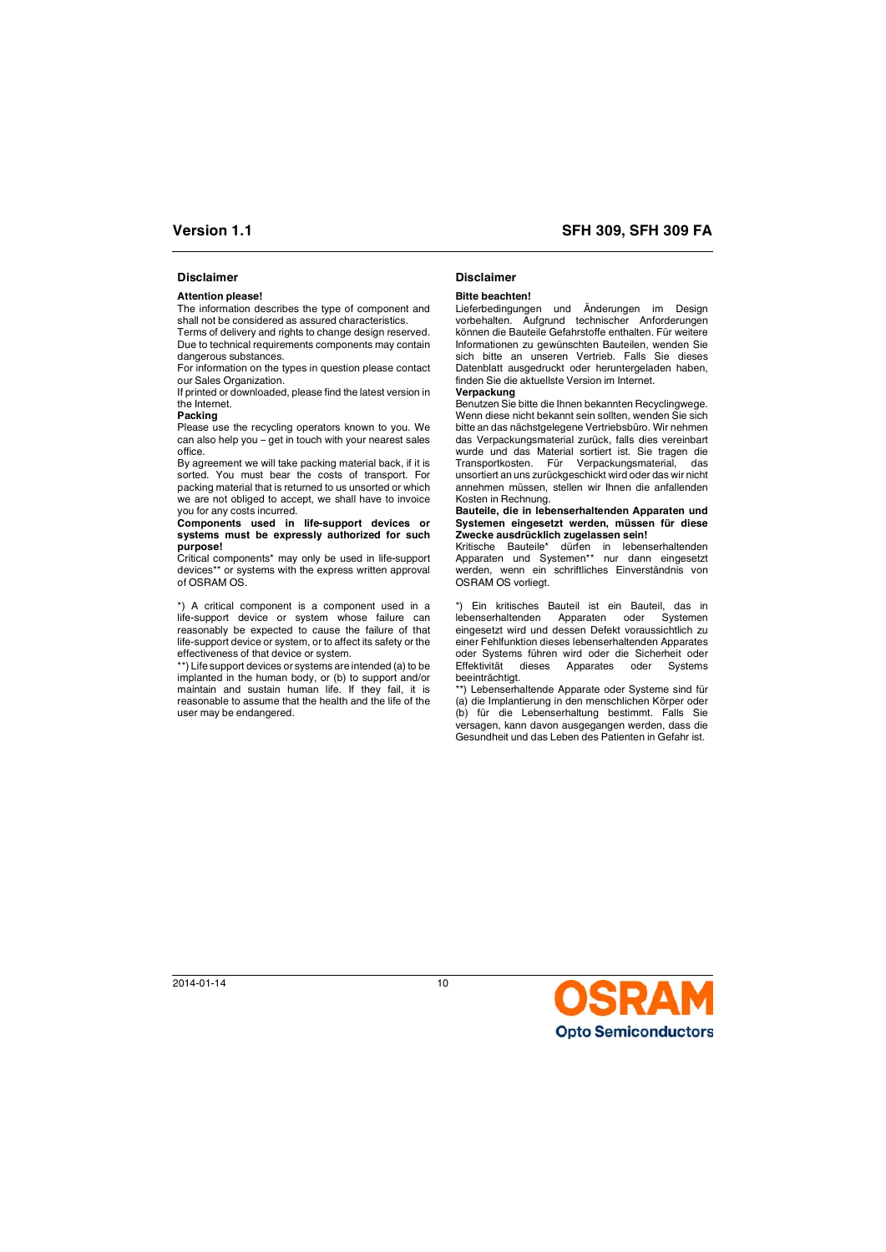# **Disclaimer Disclaimer**

## **Attention please!**

The information describes the type of component and shall not be considered as assured characteristics.

Terms of delivery and rights to change design reserved. Due to technical requirements components may contain dangerous substances.

For information on the types in question please contact our Sales Organization.

If printed or downloaded, please find the latest version in the Internet.

### **Packing**

Please use the recycling operators known to you. We can also help you – get in touch with your nearest sales office.

By agreement we will take packing material back, if it is sorted. You must bear the costs of transport. For packing material that is returned to us unsorted or which we are not obliged to accept, we shall have to invoice you for any costs incurred.

### **Components used in life-support devices or systems must be expressly authorized for such purpose!**

Critical components\* may only be used in life-support devices\*\* or systems with the express written approval of OSRAM OS.

\*) A critical component is a component used in a life-support device or system whose failure can reasonably be expected to cause the failure of that life-support device or system, or to affect its safety or the effectiveness of that device or system.

\*\*) Life support devices or systems are intended (a) to be implanted in the human body, or (b) to support and/or maintain and sustain human life. If they fail, it is reasonable to assume that the health and the life of the user may be endangered.

## **Bitte beachten!**

Lieferbedingungen und Änderungen im Design vorbehalten. Aufgrund technischer Anforderungen können die Bauteile Gefahrstoffe enthalten. Für weitere Informationen zu gewünschten Bauteilen, wenden Sie sich bitte an unseren Vertrieb. Falls Sie dieses Datenblatt ausgedruckt oder heruntergeladen haben, finden Sie die aktuellste Version im Internet.

### **Verpackung**

Benutzen Sie bitte die Ihnen bekannten Recyclingwege. Wenn diese nicht bekannt sein sollten, wenden Sie sich bitte an das nächstgelegene Vertriebsbüro. Wir nehmen das Verpackungsmaterial zurück, falls dies vereinbart wurde und das Material sortiert ist. Sie tragen die Transportkosten. Für Verpackungsmaterial, das unsortiert an uns zurückgeschickt wird oder das wir nicht annehmen müssen, stellen wir Ihnen die anfallenden Kosten in Rechnung.

### **Bauteile, die in lebenserhaltenden Apparaten und Systemen eingesetzt werden, müssen für diese Zwecke ausdrücklich zugelassen sein!**

Kritische Bauteile\* dürfen in lebenserhaltenden Apparaten und Systemen\*\* nur dann eingesetzt werden, wenn ein schriftliches Einverständnis von OSRAM OS vorliegt.

\*) Ein kritisches Bauteil ist ein Bauteil, das in lebenserhaltenden Apparaten oder Systemen eingesetzt wird und dessen Defekt voraussichtlich zu einer Fehlfunktion dieses lebenserhaltenden Apparates oder Systems führen wird oder die Sicherheit oder Effektivität dieses Apparates oder Systems beeinträchtigt.

\*\*) Lebenserhaltende Apparate oder Systeme sind für (a) die Implantierung in den menschlichen Körper oder (b) für die Lebenserhaltung bestimmt. Falls Sie versagen, kann davon ausgegangen werden, dass die Gesundheit und das Leben des Patienten in Gefahr ist.